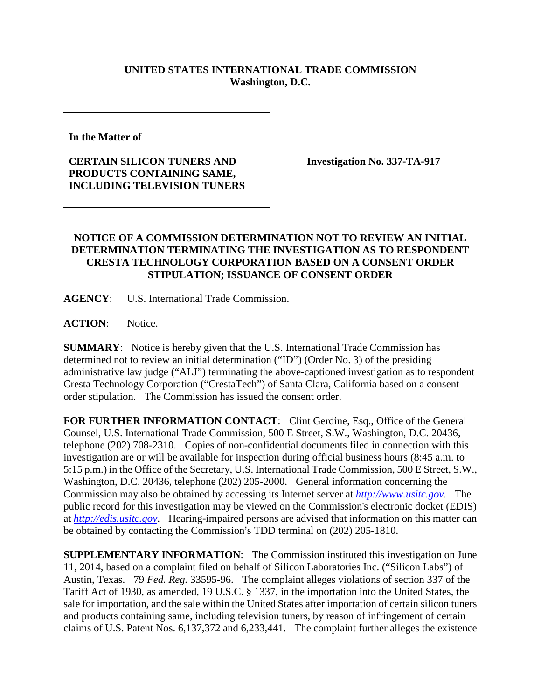## **UNITED STATES INTERNATIONAL TRADE COMMISSION Washington, D.C.**

**In the Matter of** 

## **CERTAIN SILICON TUNERS AND PRODUCTS CONTAINING SAME, INCLUDING TELEVISION TUNERS**

**Investigation No. 337-TA-917**

## **NOTICE OF A COMMISSION DETERMINATION NOT TO REVIEW AN INITIAL DETERMINATION TERMINATING THE INVESTIGATION AS TO RESPONDENT CRESTA TECHNOLOGY CORPORATION BASED ON A CONSENT ORDER STIPULATION; ISSUANCE OF CONSENT ORDER**

**AGENCY**: U.S. International Trade Commission.

**ACTION**: Notice.

**SUMMARY**: Notice is hereby given that the U.S. International Trade Commission has determined not to review an initial determination ("ID") (Order No. 3) of the presiding administrative law judge ("ALJ") terminating the above-captioned investigation as to respondent Cresta Technology Corporation ("CrestaTech") of Santa Clara, California based on a consent order stipulation. The Commission has issued the consent order.

FOR FURTHER INFORMATION CONTACT: Clint Gerdine, Esq., Office of the General Counsel, U.S. International Trade Commission, 500 E Street, S.W., Washington, D.C. 20436, telephone (202) 708-2310. Copies of non-confidential documents filed in connection with this investigation are or will be available for inspection during official business hours (8:45 a.m. to 5:15 p.m.) in the Office of the Secretary, U.S. International Trade Commission, 500 E Street, S.W., Washington, D.C. 20436, telephone (202) 205-2000. General information concerning the Commission may also be obtained by accessing its Internet server at *[http://www.usitc.gov](http://www.usitc.gov/)*. The public record for this investigation may be viewed on the Commission's electronic docket (EDIS) at *[http://edis.usitc.gov](http://edis.usitc.gov/)*. Hearing-impaired persons are advised that information on this matter can be obtained by contacting the Commission's TDD terminal on (202) 205-1810.

**SUPPLEMENTARY INFORMATION**: The Commission instituted this investigation on June 11, 2014, based on a complaint filed on behalf of Silicon Laboratories Inc. ("Silicon Labs") of Austin, Texas. 79 *Fed. Reg.* 33595-96. The complaint alleges violations of section 337 of the Tariff Act of 1930, as amended, 19 U.S.C. § 1337, in the importation into the United States, the sale for importation, and the sale within the United States after importation of certain silicon tuners and products containing same, including television tuners, by reason of infringement of certain claims of U.S. Patent Nos. 6,137,372 and 6,233,441. The complaint further alleges the existence